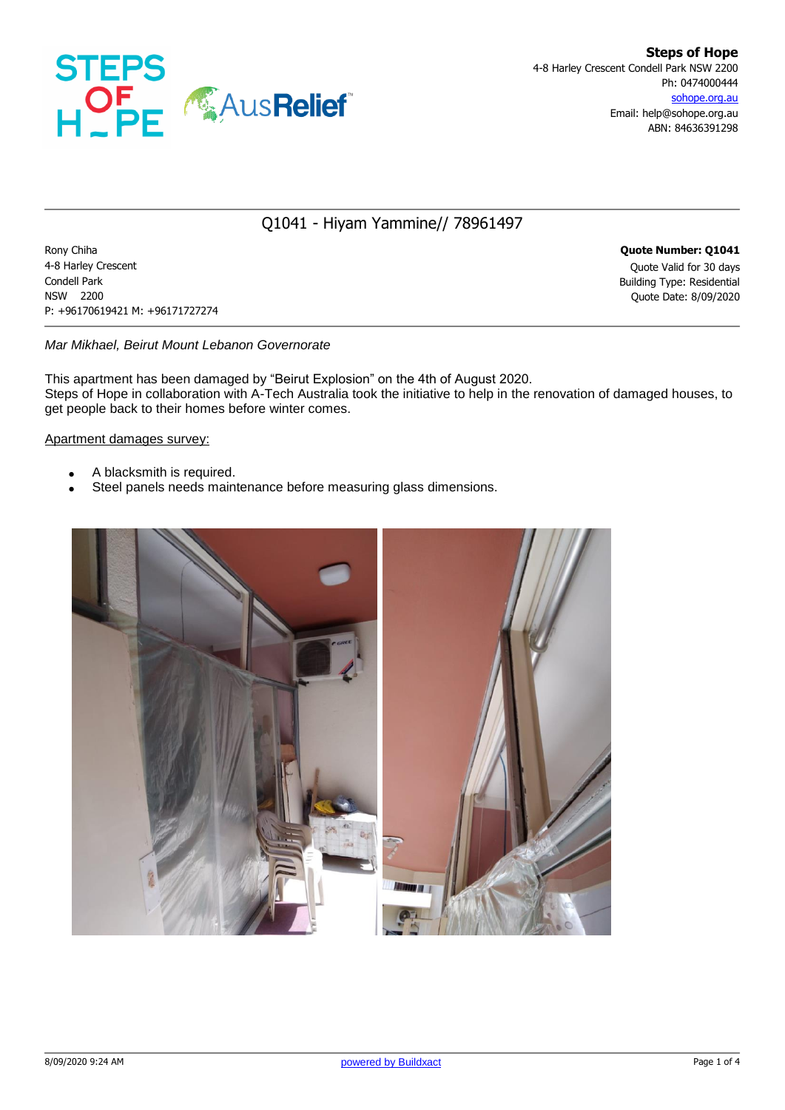

## Q1041 - Hiyam Yammine// 78961497

Rony Chiha **Quote Number: Q1041** 4-8 Harley Crescent Quote Valid for 30 days Condell Park Building Type: Residential NSW 2200 Quote Date: 8/09/2020 P: +96170619421 M: +96171727274

### *Mar Mikhael, Beirut Mount Lebanon Governorate*

This apartment has been damaged by "Beirut Explosion" on the 4th of August 2020. Steps of Hope in collaboration with A-Tech Australia took the initiative to help in the renovation of damaged houses, to get people back to their homes before winter comes.

### Apartment damages survey:

- A blacksmith is required.
- Steel panels needs maintenance before measuring glass dimensions.

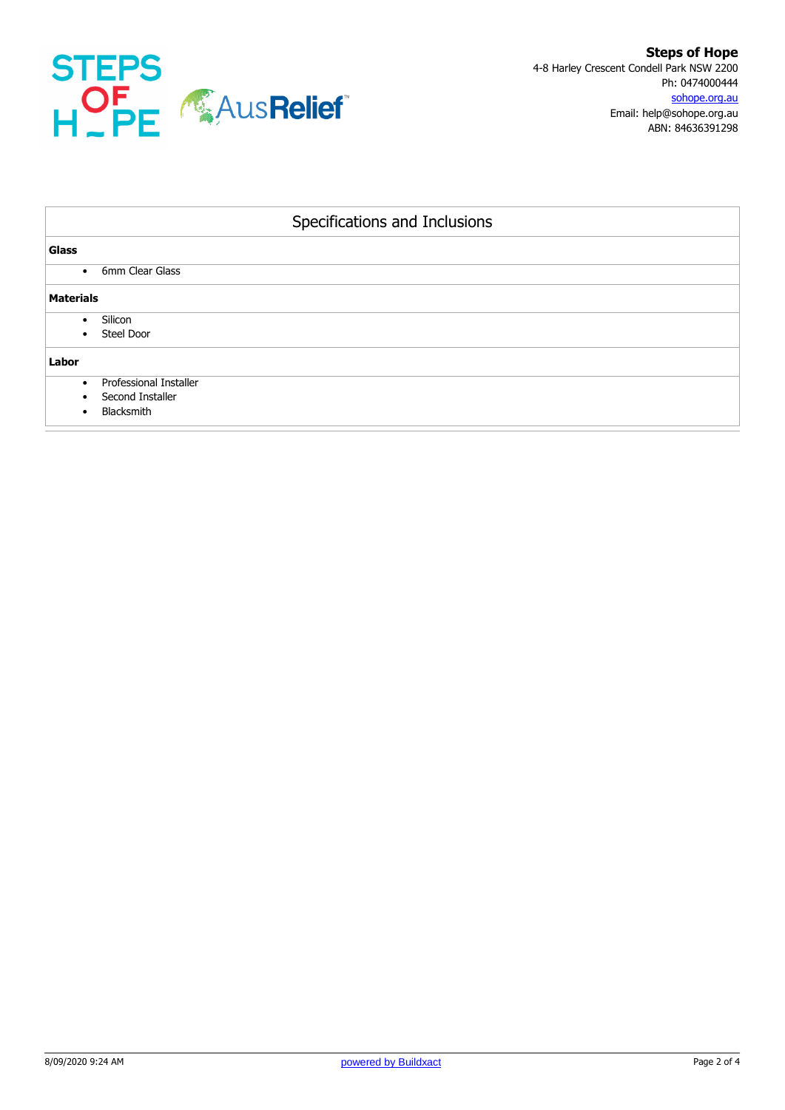

| Specifications and Inclusions |                                                                 |  |  |  |
|-------------------------------|-----------------------------------------------------------------|--|--|--|
| <b>Glass</b>                  |                                                                 |  |  |  |
| ٠                             | 6mm Clear Glass                                                 |  |  |  |
| <b>Materials</b>              |                                                                 |  |  |  |
| Silicon<br>$\bullet$          | Steel Door                                                      |  |  |  |
| Labor                         |                                                                 |  |  |  |
| $\bullet$                     | <b>Professional Installer</b><br>Second Installer<br>Blacksmith |  |  |  |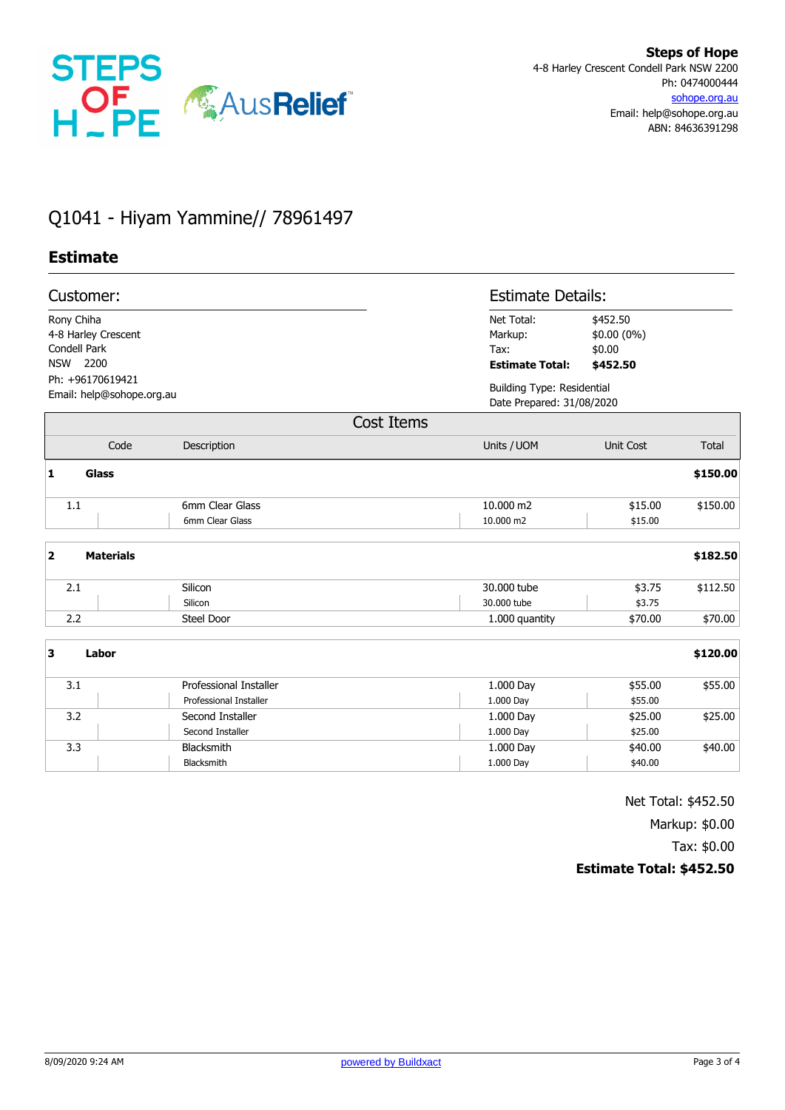

# Q1041 - Hiyam Yammine// 78961497

### **Estimate**

|                                                                                                                | Customer:        |                                                  |                                                                                                          | <b>Estimate Details:</b>                                       |          |  |
|----------------------------------------------------------------------------------------------------------------|------------------|--------------------------------------------------|----------------------------------------------------------------------------------------------------------|----------------------------------------------------------------|----------|--|
| Rony Chiha<br>4-8 Harley Crescent<br>Condell Park<br>NSW 2200<br>Ph: +96170619421<br>Email: help@sohope.org.au |                  |                                                  | Net Total:<br>\$452.50<br>\$0.00 (0%)<br>Markup:<br>\$0.00<br>Tax:<br><b>Estimate Total:</b><br>\$452.50 |                                                                |          |  |
|                                                                                                                |                  |                                                  |                                                                                                          | <b>Building Type: Residential</b><br>Date Prepared: 31/08/2020 |          |  |
|                                                                                                                |                  |                                                  | Cost Items                                                                                               |                                                                |          |  |
|                                                                                                                | Code             | Description                                      | Units / UOM                                                                                              | <b>Unit Cost</b>                                               | Total    |  |
| 1                                                                                                              | Glass            |                                                  |                                                                                                          |                                                                | \$150.00 |  |
|                                                                                                                | 1.1              | 6mm Clear Glass<br>6mm Clear Glass               | 10.000 m2<br>10,000 m2                                                                                   | \$15.00<br>\$15.00                                             | \$150.00 |  |
| $\overline{\mathbf{2}}$                                                                                        | <b>Materials</b> |                                                  |                                                                                                          |                                                                | \$182.50 |  |
|                                                                                                                | 2.1              | Silicon<br>Silicon                               | 30,000 tube<br>30,000 tube                                                                               | \$3.75<br>\$3.75                                               | \$112.50 |  |
|                                                                                                                | 2.2              | <b>Steel Door</b>                                | 1.000 quantity                                                                                           | \$70.00                                                        | \$70.00  |  |
| 3                                                                                                              | Labor            |                                                  |                                                                                                          |                                                                | \$120.00 |  |
|                                                                                                                | 3.1              | Professional Installer<br>Professional Installer | 1.000 Day<br>1.000 Day                                                                                   | \$55.00<br>\$55.00                                             | \$55.00  |  |
|                                                                                                                | 3.2              | Second Installer<br>Second Installer             | 1.000 Day<br>1.000 Day                                                                                   | \$25.00<br>\$25.00                                             | \$25.00  |  |
|                                                                                                                | 3.3              | Blacksmith<br>Blacksmith                         | 1.000 Day<br>1.000 Day                                                                                   | \$40.00<br>\$40.00                                             | \$40.00  |  |

Net Total: \$452.50

Markup: \$0.00

Tax: \$0.00

#### **Estimate Total: \$452.50**